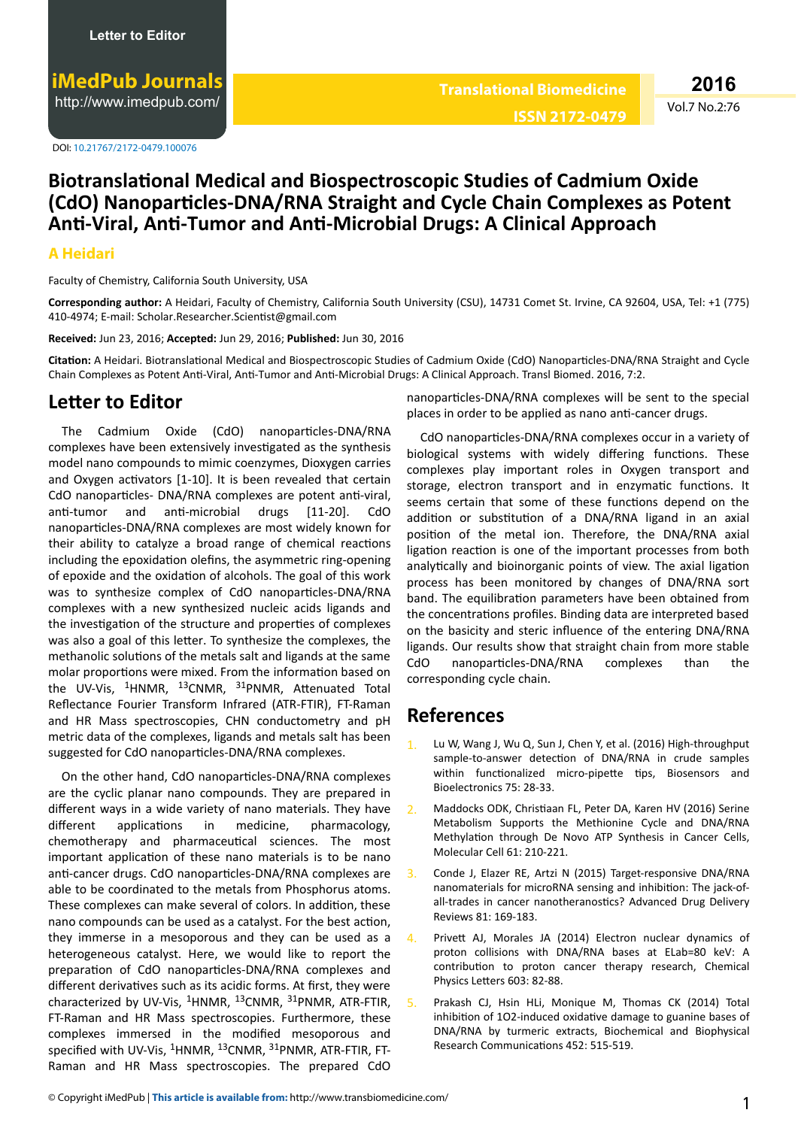DOI: 10.21767/2172-0479.100076

## **Biotranslational Medical and Biospectroscopic Studies of Cadmium Oxide (CdO) Nanoparticles-DNA/RNA Straight and Cycle Chain Complexes as Potent Anti-Viral, Anti-Tumor and Anti-Microbial Drugs: A Clinical Approach**

## **A Heidari**

Faculty of Chemistry, California South University, USA

**Corresponding author:** A Heidari, Faculty of Chemistry, California South University (CSU), 14731 Comet St. Irvine, CA 92604, USA, Tel: +1 (775) 410-4974; E-mail: Scholar.Researcher.Scientist@gmail.com

**Received:** Jun 23, 2016; **Accepted:** Jun 29, 2016; **Published:** Jun 30, 2016

Citation: A Heidari. Biotranslational Medical and Biospectroscopic Studies of Cadmium Oxide (CdO) Nanoparticles-DNA/RNA Straight and Cycle Chain Complexes as Potent Anti-Viral, Anti-Tumor and Anti-Microbial Drugs: A Clinical Approach. Transl Biomed. 2016, 7:2.

## **Letter to Editor**

The Cadmium Oxide (CdO) nanoparticles-DNA/RNA complexes have been extensively investigated as the synthesis model nano compounds to mimic coenzymes, Dioxygen carries and Oxygen activators  $[1-10]$ . It is been revealed that certain CdO nanoparticles- DNA/RNA complexes are potent anti-viral, anti-tumor and anti-microbial drugs [11-20]. CdO nanoparticles-DNA/RNA complexes are most widely known for their ability to catalyze a broad range of chemical reactions including the epoxidation olefins, the asymmetric ring-opening of epoxide and the oxidation of alcohols. The goal of this work was to synthesize complex of CdO nanoparticles-DNA/RNA complexes with a new synthesized nucleic acids ligands and the investigation of the structure and properties of complexes was also a goal of this letter. To synthesize the complexes, the methanolic solutions of the metals salt and ligands at the same molar proportions were mixed. From the information based on the UV-Vis,  $14$ HNMR,  $13$ CNMR,  $31$ PNMR, Attenuated Total Reflectance Fourier Transform Infrared (ATR-FTIR), FT-Raman and HR Mass spectroscopies, CHN conductometry and pH metric data of the complexes, ligands and metals salt has been suggested for CdO nanoparticles-DNA/RNA complexes.

On the other hand, CdO nanoparticles-DNA/RNA complexes are the cyclic planar nano compounds. They are prepared in different ways in a wide variety of nano materials. They have different applications in medicine, pharmacology, chemotherapy and pharmaceutical sciences. The most important application of these nano materials is to be nano anti-cancer drugs. CdO nanoparticles-DNA/RNA complexes are able to be coordinated to the metals from Phosphorus atoms. These complexes can make several of colors. In addition, these nano compounds can be used as a catalyst. For the best action, they immerse in a mesoporous and they can be used as a heterogeneous catalyst. Here, we would like to report the preparation of CdO nanoparticles-DNA/RNA complexes and different derivatives such as its acidic forms. At first, they were characterized by UV-Vis,  ${}^{1}$ HNMR,  ${}^{13}$ CNMR,  ${}^{31}$ PNMR, ATR-FTIR, FT-Raman and HR Mass spectroscopies. Furthermore, these complexes immersed in the modified mesoporous and specified with UV-Vis, <sup>1</sup>HNMR, <sup>13</sup>CNMR, <sup>31</sup>PNMR, ATR-FTIR, FT-Raman and HR Mass spectroscopies. The prepared CdO nanoparticles-DNA/RNA complexes will be sent to the special places in order to be applied as nano anti-cancer drugs.

CdO nanoparticles-DNA/RNA complexes occur in a variety of biological systems with widely differing functions. These complexes play important roles in Oxygen transport and storage, electron transport and in enzymatic functions. It seems certain that some of these functions depend on the addition or substitution of a DNA/RNA ligand in an axial position of the metal ion. Therefore, the DNA/RNA axial ligation reaction is one of the important processes from both analytically and bioinorganic points of view. The axial ligation process has been monitored by changes of DNA/RNA sort band. The equilibration parameters have been obtained from the concentrations profiles. Binding data are interpreted based on the basicity and steric influence of the entering DNA/RNA ligands. Our results show that straight chain from more stable CdO nanoparticles-DNA/RNA complexes than the corresponding cycle chain.

## **References**

- Lu W, Wang J, Wu Q, Sun J, Chen Y, et al. (2016) High-throughput sample-to-answer detection of DNA/RNA in crude samples within functionalized micro-pipette tips, Biosensors and Bioelectronics 75: 28-33.
- 2. Maddocks ODK, Christiaan FL, Peter DA, Karen HV (2016) Serine Metabolism Supports the Methionine Cycle and DNA/RNA Methylation through De Novo ATP Synthesis in Cancer Cells, Molecular Cell 61: 210-221.
- Conde J, Elazer RE, Artzi N (2015) Target-responsive DNA/RNA nanomaterials for microRNA sensing and inhibition: The jack-ofall-trades in cancer nanotheranostics? Advanced Drug Delivery Reviews 81: 169-183.
- 4. Privett AJ, Morales JA (2014) Electron nuclear dynamics of proton collisions with DNA/RNA bases at ELab=80 keV: A contribution to proton cancer therapy research, Chemical Physics Letters 603: 82-88.
- 5. Prakash CJ, Hsin HLi, Monique M, Thomas CK (2014) Total inhibition of 1O2-induced oxidative damage to guanine bases of DNA/RNA by turmeric extracts, Biochemical and Biophysical Research Communications 452: 515-519.